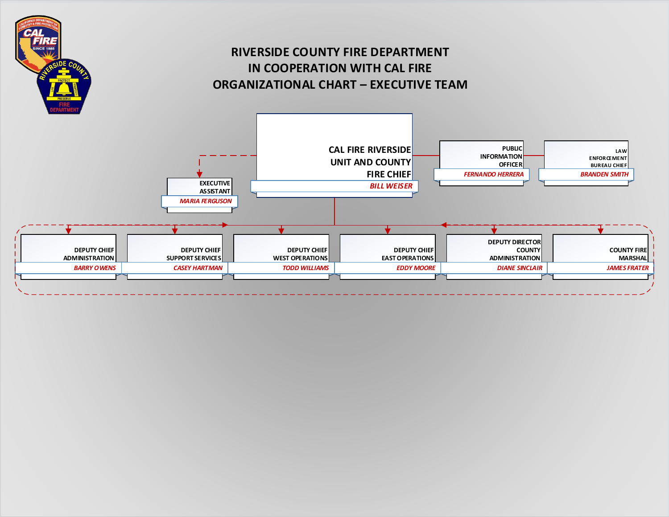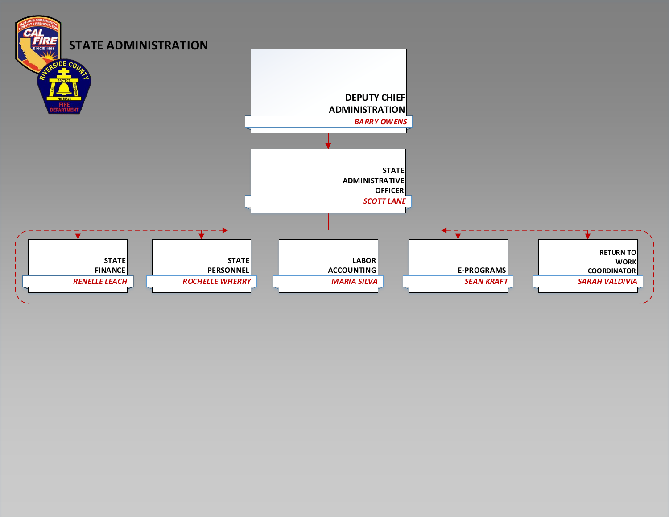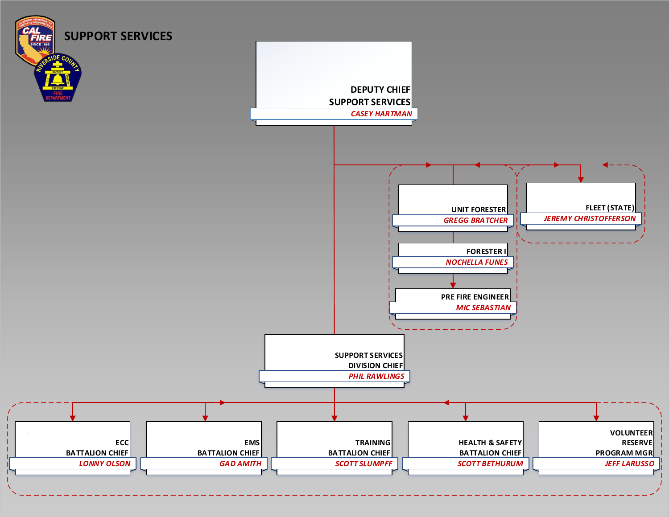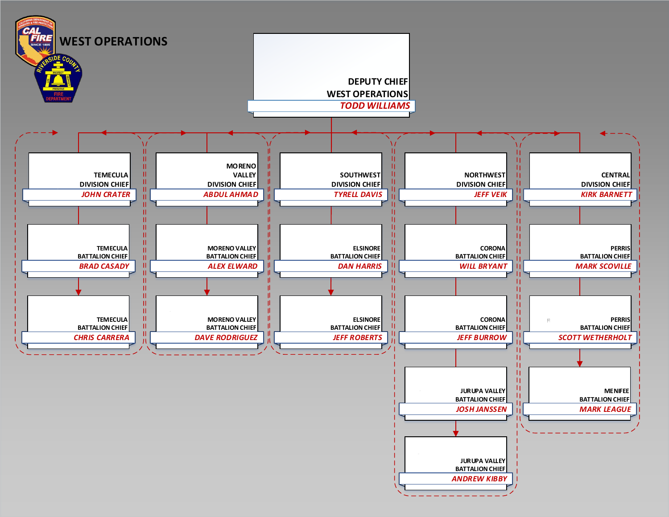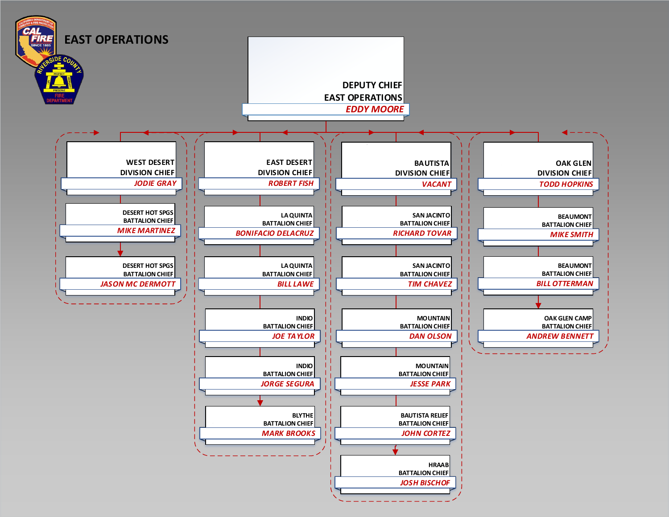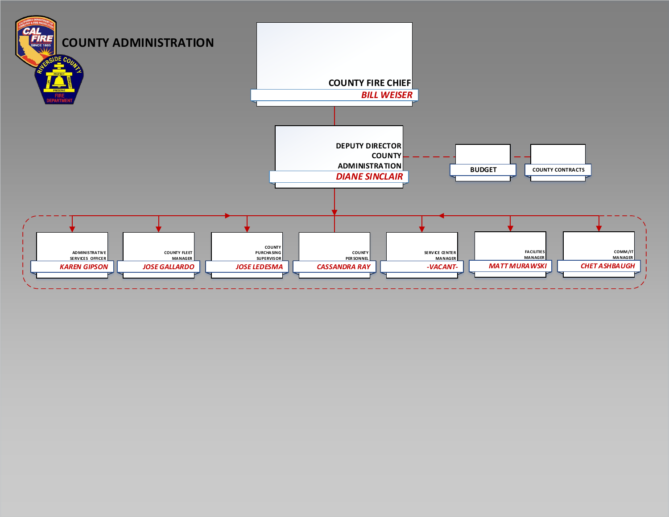